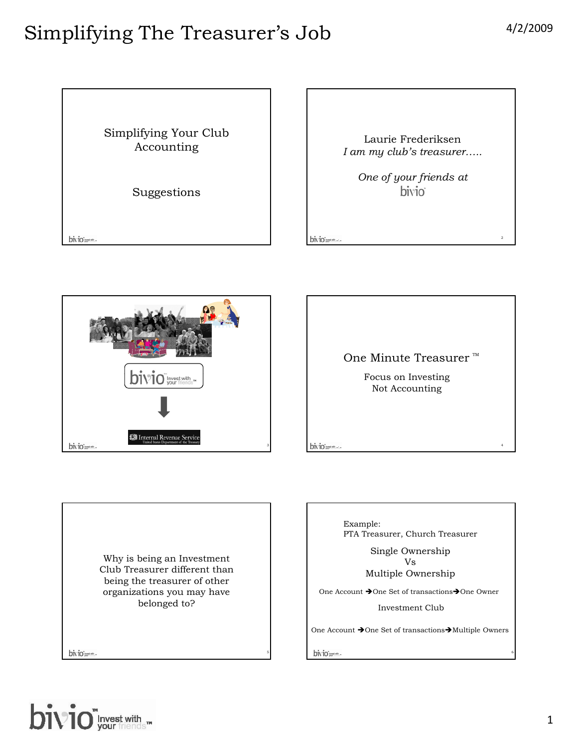





Why is being an Investment Club Treasurer different than being the treasurer of other organizations you may have belonged to?

bivio men-



Single Ownership Vs Multiple Ownership

One Account  $\rightarrow$  One Set of transactions $\rightarrow$  One Owner

Investment Club

One Account  $\rightarrow$  One Set of transactions $\rightarrow$  Multiple Owners

bivio men-

5



6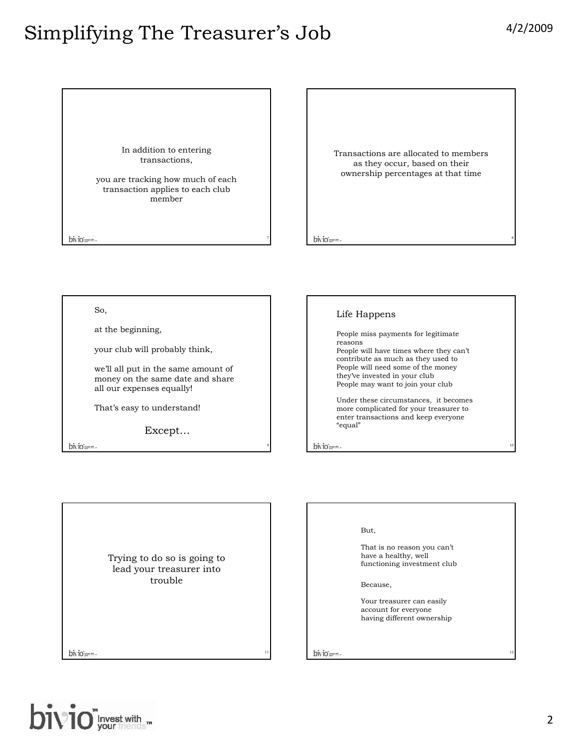8

10

12

#### Simplifying The Treasurer's Job 4/2/2009

In addition to entering transactions,

you are tracking how much of each transaction applies to each club member

bivio-

Transactions are allocated to members as they occur, based on their ownership percentages at that time

bivio-

7

9

11

So,

at the beginning,

your club will probably think,

we'll all put in the same amount of money on the same date and share all our expenses equally!

That's easy to understand!

Except…

bivio-

#### Life Happens

People miss payments for legitimate reasons People will have times where they can't contribute as much as they used to People will need some of the money they've invested in your club People may want to join your club

Under these circumstances, it becomes more complicated for your treasurer to enter transactions and keep everyone "equal"

bivio men-

Trying to do so is going to lead your treasurer into trouble

bivio men-



That is no reason you can't have a healthy, well functioning investment club

Because,

Your treasurer can easily account for everyone having different ownership

bivio present-

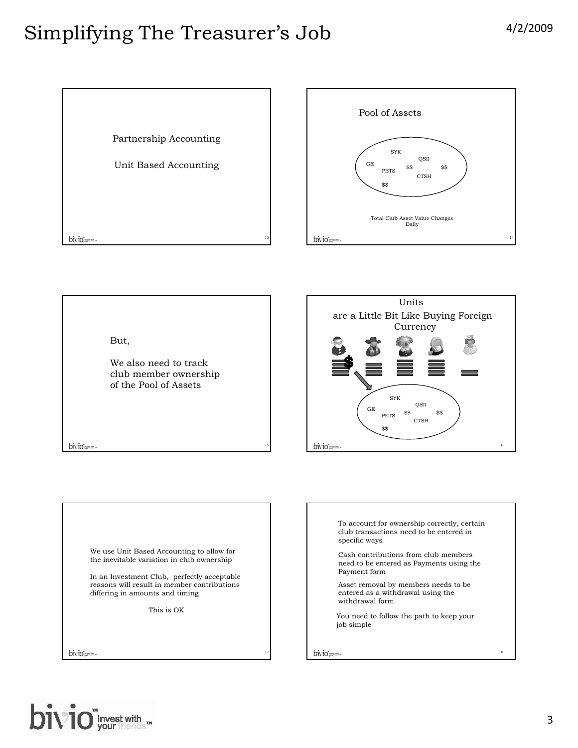



But,

We also need to track club member ownership of the Pool of Assets

15

17



We use Unit Based Accounting to allow for the inevitable variation in club ownership In an Investment Club, perfectly acceptable reasons will result in member contributions differing in amounts and timing This is OK

bivio pres-

bivio-



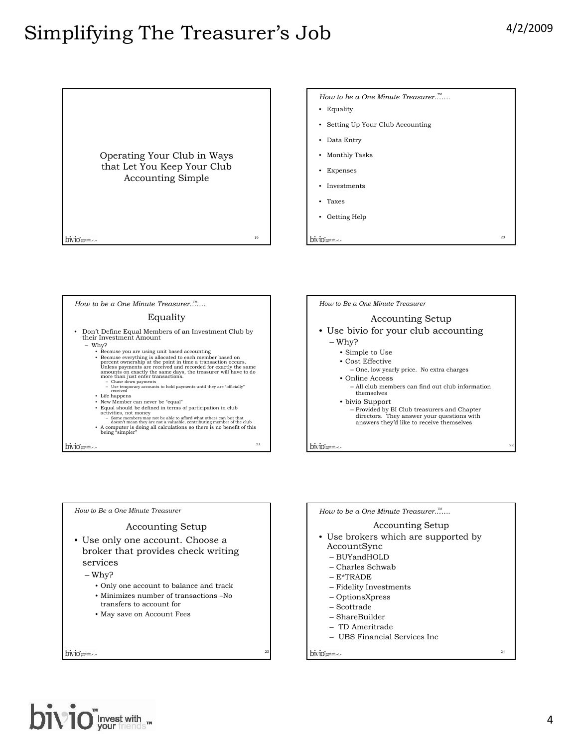









#### Accounting Setup

- Use brokers which are supported by AccountSync
	- BUYandHOLD
	- Charles Schwab
	- E\*TRADE
	- Fidelity Investments
	- OptionsXpress
	- Scottrade
	- ShareBuilder
	- TD Ameritrade
	-
	- UBS Financial Services Inc

bivio menu-



24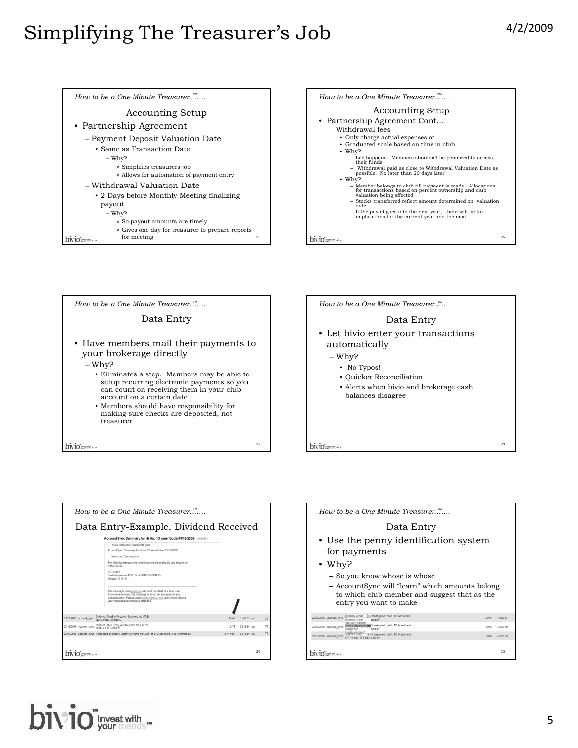26



27



|                         | How to be a One Minute Treasurer                                                                                                                                                                                                                |            |               |   |
|-------------------------|-------------------------------------------------------------------------------------------------------------------------------------------------------------------------------------------------------------------------------------------------|------------|---------------|---|
|                         | Data Entry-Example, Dividend Received                                                                                                                                                                                                           |            |               |   |
|                         | AccountSync Summary for Hi Ho. TD Ameritrade 03/18/2009 [1461] X                                                                                                                                                                                |            |               |   |
|                         | bivio Customer Support to Club                                                                                                                                                                                                                  |            |               |   |
|                         | AccountSync Summary for Hi Ho. TD Ameritrade 03/18/2009                                                                                                                                                                                         |            |               |   |
|                         | *** Automatic Transactions ***                                                                                                                                                                                                                  |            |               |   |
|                         | The following transactions were imported automatically and require no<br>futher action.                                                                                                                                                         |            |               |   |
|                         | 03/17/2009<br>Cash distribution FDS. QUALIFIED DIVIDEND<br>Amount: \$ 14.40                                                                                                                                                                     |            |               |   |
|                         | This message from bivio com was sent on behalf of a bivio user.<br>If you have received this message in error, we apologize for any<br>inconvenience. Please email support@bivio.com and we will remove<br>your email address from our database |            |               |   |
| 03/17/2009 account sync | Dividend, FactSet Research Systems Inc (FDS)<br>QUALIFIED DIVIDEND                                                                                                                                                                              | 14.40      | 3 342 95 edit | п |
| 03/12/2009 account_sync | Dividend, Jack Henry & Associates Inc (JKHY)<br>QUALIFIED DIVIDEND                                                                                                                                                                              | 12.75      | 3.328.55 mm   | т |
|                         | 03/09/2009 account_sync Purchased 50 shares Quality Systems Inc (QSII) at 34.2 per share, 9.99 commission                                                                                                                                       | (1.719.99) | 3 315 80 edit | п |
| investments             |                                                                                                                                                                                                                                                 |            | 29            |   |

How to be a One Minute Treasurer…<sup>™</sup>……

your brokerage directly

account on a certain date

– Why?

bivio ---

treasurer

Data Entry

• Have members mail their payments to

• Members should have responsibility for making sure checks are deposited, not

• Eliminates a step. Members may be able to setup recurring electronic payments so you can count on receiving them in your club

How to be a One Minute Treasurer.<sup>™</sup>……

#### Data Entry

- Use the penny identification system for payments
- Why?
	- So you know whose is whose
	- AccountSync will "learn" which amounts belong to which club member and suggest that as the entry you want to make

| 02/23/2009 account_sync | Identify Credit<br>Unassigned credit. TD Ameritrade<br>ECEPT<br>Identify Credit                 | 100 04 | 4.960.63 |
|-------------------------|-------------------------------------------------------------------------------------------------|--------|----------|
| 02/23/2009 account sync | account transfer<br>Unassigned credit. TD Ameritrade<br>multiple payment<br>ECEPT<br>single fee | 50.03  | 4 860 59 |
| 02/23/2009 account_sync | single payment<br>Toeffithy Cheat M Unassigned credit, TD Ameritrade<br>PERSONAL CHECK RECEIPT  | 50.02  | 4.810.56 |
|                         |                                                                                                 |        |          |
| bivio mento             |                                                                                                 |        | 30       |

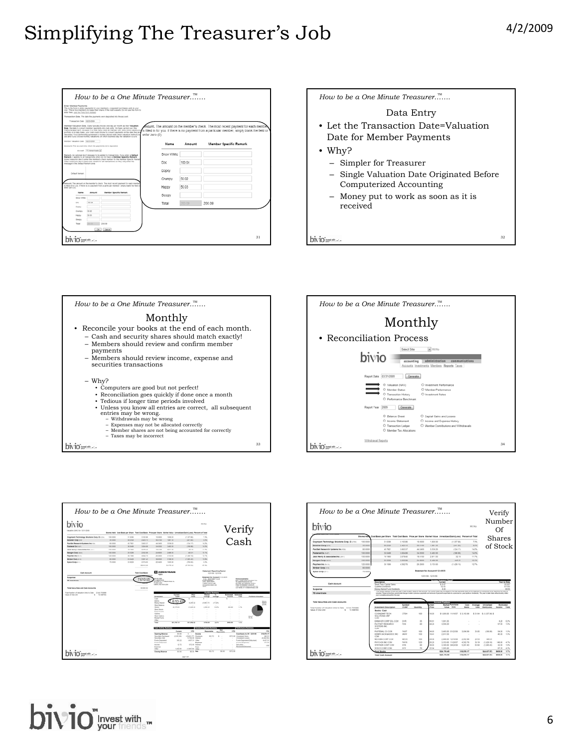











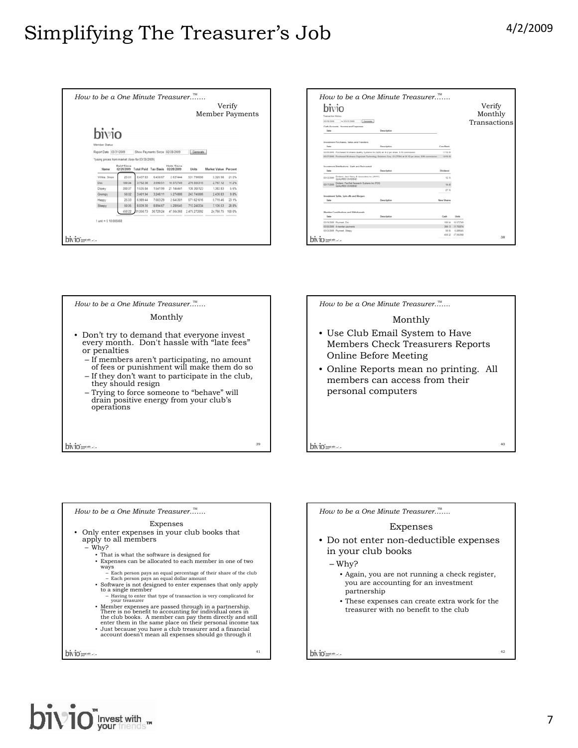|                                                  |                                 |                      |           |                                  |              | <b>Member Payments</b> | Verify |  |
|--------------------------------------------------|---------------------------------|----------------------|-----------|----------------------------------|--------------|------------------------|--------|--|
| bivio                                            |                                 |                      |           |                                  |              |                        |        |  |
| Member Status                                    |                                 |                      |           |                                  |              |                        |        |  |
| Report Date: 03/31/2009                          |                                 |                      |           | Show Payments Since: 02/28/2009  | Generate     |                        |        |  |
| "/using prices from market close for 03/30/2009) |                                 |                      |           |                                  |              |                        |        |  |
| Name                                             | <b>Paid Since</b><br>02/28/2009 | Total Paid Tax Basis |           | <b>Units Since</b><br>02/28/2009 | Units        | Market Value Percent   |        |  |
| White, Snow                                      | 25.01                           | 6,437.83             | 6,450.67  | 2.637444                         | 531.796698   | 5.320.98               | 21.5%  |  |
| Doc                                              | 100.04                          | 3.752.38             | 3.590.51  | 10.572749                        | 276.555315   | 2.767.12               | 11.2%  |  |
| Dopey                                            | 200.07                          | 1.635.84             | 1.541.99  | 21.14441                         | 138 305123   | 1,383.83               | 5.6%   |  |
| Grumpy                                           | 50.02                           | 3.401.94             | 3,248.11  | 5.274888                         | 243.745006   | 2,438.83               | 9.8%   |  |
| Happy                                            | 25.03                           | 6.989.44             | 7.003.29  | 2 645301                         | 571 621616   | 5.719.46               | 23.1%  |  |
| Sleepy                                           | 50.05                           | 8.839.30             | 8.894.67  | 5.289545                         | 713 248334   | 7.136.53               | 28.8%  |  |
|                                                  | 450.22                          | 31.056.73            | 30.729.24 | 47.564368                        | 2.475.272092 | 24.766.75              | 100.0% |  |
| $1$ unit = $5$ $10.005668$                       |                                 |                      |           |                                  |              |                        |        |  |
|                                                  |                                 |                      |           |                                  |              |                        |        |  |

| Date<br>Description<br>Investment Purchases, Sales, and Transfers<br>Date<br>Description<br>Cost Basis<br>1,719.99<br>63/09/2009 Purchased 50 shares Quality Systems Inc (QSR) at 34.2 per share. 5.99 commission<br>63/27/2009 Purchased 80 shares Cognizant Technology Solutions Corp. Cl (CTSH) at 20.12 per share. 9:39 commission<br>1.619.59<br>Investment Distributions - Cash and Reinvested<br>Date<br>Description<br>Dividend<br>-<br>Dividend, Jack Henry & Associates Inc (JKHY)<br>03/12/2009<br>12.75<br>QUALIFIED DWOEND<br>Dividend, FactSet Research Systems Inc (FDS)<br>03/17/2009<br>54.40<br>OLIALIERD DV/OEND<br>27.55<br>Investment Splits, Spin-offs and Mengers<br>Date<br>New Shares<br>Description<br>Member Contributions and Withdrawals<br>Date<br>Cash<br>Description<br>Units |  |  |  |
|---------------------------------------------------------------------------------------------------------------------------------------------------------------------------------------------------------------------------------------------------------------------------------------------------------------------------------------------------------------------------------------------------------------------------------------------------------------------------------------------------------------------------------------------------------------------------------------------------------------------------------------------------------------------------------------------------------------------------------------------------------------------------------------------------------------|--|--|--|
|                                                                                                                                                                                                                                                                                                                                                                                                                                                                                                                                                                                                                                                                                                                                                                                                               |  |  |  |
|                                                                                                                                                                                                                                                                                                                                                                                                                                                                                                                                                                                                                                                                                                                                                                                                               |  |  |  |
|                                                                                                                                                                                                                                                                                                                                                                                                                                                                                                                                                                                                                                                                                                                                                                                                               |  |  |  |
|                                                                                                                                                                                                                                                                                                                                                                                                                                                                                                                                                                                                                                                                                                                                                                                                               |  |  |  |
|                                                                                                                                                                                                                                                                                                                                                                                                                                                                                                                                                                                                                                                                                                                                                                                                               |  |  |  |
|                                                                                                                                                                                                                                                                                                                                                                                                                                                                                                                                                                                                                                                                                                                                                                                                               |  |  |  |
|                                                                                                                                                                                                                                                                                                                                                                                                                                                                                                                                                                                                                                                                                                                                                                                                               |  |  |  |
|                                                                                                                                                                                                                                                                                                                                                                                                                                                                                                                                                                                                                                                                                                                                                                                                               |  |  |  |
|                                                                                                                                                                                                                                                                                                                                                                                                                                                                                                                                                                                                                                                                                                                                                                                                               |  |  |  |
|                                                                                                                                                                                                                                                                                                                                                                                                                                                                                                                                                                                                                                                                                                                                                                                                               |  |  |  |
|                                                                                                                                                                                                                                                                                                                                                                                                                                                                                                                                                                                                                                                                                                                                                                                                               |  |  |  |
| 03/19/2009 Payment, Doc.<br>500.04<br>10.672745                                                                                                                                                                                                                                                                                                                                                                                                                                                                                                                                                                                                                                                                                                                                                               |  |  |  |
| 03/20/2009 4 member payments<br>300 13<br>31.702074                                                                                                                                                                                                                                                                                                                                                                                                                                                                                                                                                                                                                                                                                                                                                           |  |  |  |
| 03/23/2009 Payment, Sleepy<br>53.05<br>6.209645<br>450 22 47 564368                                                                                                                                                                                                                                                                                                                                                                                                                                                                                                                                                                                                                                                                                                                                           |  |  |  |





| Expenses                                                                                                                                                                                                                                    |    |
|---------------------------------------------------------------------------------------------------------------------------------------------------------------------------------------------------------------------------------------------|----|
| • Only enter expenses in your club books that<br>apply to all members                                                                                                                                                                       |    |
| – Why?                                                                                                                                                                                                                                      |    |
| • That is what the software is designed for                                                                                                                                                                                                 |    |
| • Expenses can be allocated to each member in one of two<br>ways                                                                                                                                                                            |    |
| - Each person pays an equal percentage of their share of the club<br>- Each person pays an equal dollar amount                                                                                                                              |    |
| • Software is not designed to enter expenses that only apply<br>to a single member                                                                                                                                                          |    |
| - Having to enter that type of transaction is very complicated for<br>vour treasurer                                                                                                                                                        |    |
| • Member expenses are passed through in a partnership.<br>There is no benefit to accounting for individual ones in<br>the club books. A member can pay them directly and still<br>enter them in the same place on their personal income tax |    |
| • Just because you have a club treasurer and a financial<br>account doesn't mean all expenses should go through it                                                                                                                          |    |
| DIVIO =====                                                                                                                                                                                                                                 | 41 |

How to be a One Minute Treasurer…<sup>™</sup>……

#### Expenses

- Do not enter non-deductible expenses in your club books
	- Why?
		- Again, you are not running a check register, you are accounting for an investment partnership
		- These expenses can create extra work for the treasurer with no benefit to the club

```
bivio<sub>nne</sub>...
```


42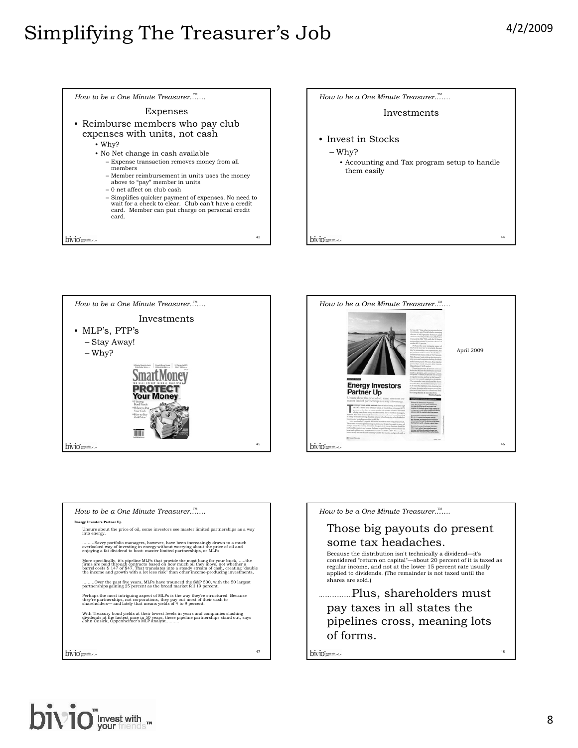







| How to be a One Minute Treasurer                                                                                                                                                                                                                                                                                                                            |    |
|-------------------------------------------------------------------------------------------------------------------------------------------------------------------------------------------------------------------------------------------------------------------------------------------------------------------------------------------------------------|----|
| Energy Investors Partner Up                                                                                                                                                                                                                                                                                                                                 |    |
| Unsure about the price of oil, some investors see master limited partnerships as a way<br>into energy.                                                                                                                                                                                                                                                      |    |
| Savvy portfolio managers, however, have been increasingly drawn to a much<br>overlooked way of investing in energy without worrying about the price of oil and<br>enjoying a fat dividend to boot: master limited partnerships, or MLPs.                                                                                                                    |    |
| More specifically, it's pipeline MLPs that provide the most bang for your buckthe<br>firms are paid through contracts based on how much oil they move, not whether a<br>barrel costs \$147 or \$47. That translates into a steady stream of cash, creating "double"<br>the income and growth with a lot less risk" than other income-producing investments, |    |
| Over the past five years, MLPs have trounced the S&P 500, with the 50 largest<br>partnerships gaining 25 percent as the broad market fell 19 percent.                                                                                                                                                                                                       |    |
| Perhaps the most intriguing aspect of MLPs is the way they're structured. Because<br>they're partnerships, not corporations, they pay out most of their cash to<br>shareholders—and lately that means vields of 4 to 9 percent.                                                                                                                             |    |
| With Treasury bond yields at their lowest levels in years and companies slashing<br>dividends at the fastest pace in 50 years, these pipeline partnerships stand out, says<br>John Cusick, Oppenheimer's MLP analyst                                                                                                                                        |    |
|                                                                                                                                                                                                                                                                                                                                                             |    |
|                                                                                                                                                                                                                                                                                                                                                             |    |
| 47                                                                                                                                                                                                                                                                                                                                                          | bi |



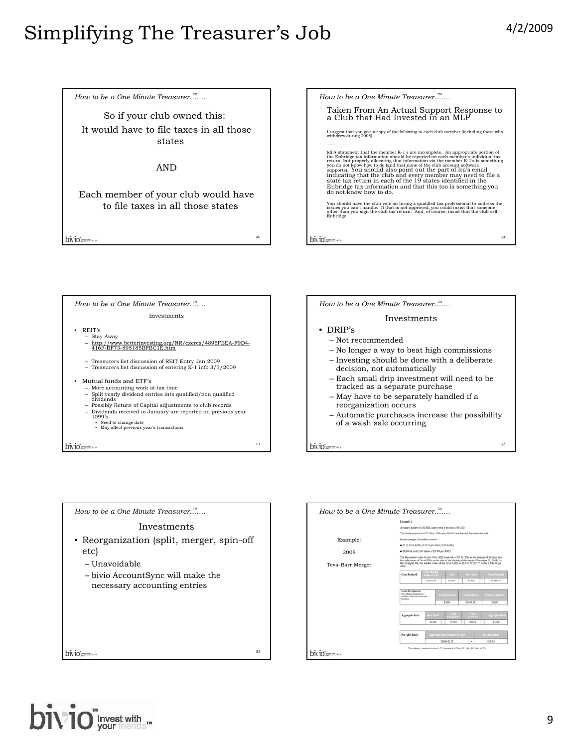How to be a One Minute Treasurer…<sup>™</sup>…… So if your club owned this: It would have to file taxes in all those states AND Each member of your club would have to file taxes in all those states 49 bivio<sub>nnum</sub>...

| How to be a One Minute Treasurer                                                                                                                                                                                                                                                                                                                                                                                                                                                                                                                                                                                       |  |
|------------------------------------------------------------------------------------------------------------------------------------------------------------------------------------------------------------------------------------------------------------------------------------------------------------------------------------------------------------------------------------------------------------------------------------------------------------------------------------------------------------------------------------------------------------------------------------------------------------------------|--|
| Taken From An Actual Support Response to<br>a Club that Had Invested in an MLP                                                                                                                                                                                                                                                                                                                                                                                                                                                                                                                                         |  |
| I suggest that you give a copy of the following to each club member (including those who<br>withdrew during 2008):                                                                                                                                                                                                                                                                                                                                                                                                                                                                                                     |  |
|                                                                                                                                                                                                                                                                                                                                                                                                                                                                                                                                                                                                                        |  |
| (d) A statement that the member K-1's are incomplete. An appropriate portion of<br>the Enbridge tax information should be reported on each member's individual tax<br>return, but properly allocating that information via the member K-1's is something you do not know how to do (and that none of the club account software<br>supports). You should also point out the part of Ira's email<br>indicating that the club and every member may need to file a<br>state tax return in each of the 19 states identified in the<br>Enbridge tax information and that this too is something you<br>do not know how to do. |  |
| You should have the club vote on hiring a qualified tax professional to address the<br>issues you can't handle. If that is not approved, you could insist that someone<br>other than you sign the club tax return. And, of course, insist that the club sell<br>Enbridge.                                                                                                                                                                                                                                                                                                                                              |  |
| 50                                                                                                                                                                                                                                                                                                                                                                                                                                                                                                                                                                                                                     |  |

How to be a One Minute Treasurer…<sup>™</sup>…… Investments • REIT's – Stay Away – http://www.betterinvesting.org/NR/exeres/4895FEEA-F9D4- 416F-BF73-895185BFBC1E.htm – Treasurers list discussion of REIT Entry Jan 2009 – Treasurers list discussion of entering K-1 info 3/3/2009 • Mutual funds and ETF's – More accounting work at tax time – Split yearly dividend entries into qualified/non qualified dividends – Possibly Return of Capital adjustments to club records – Dividends received in January are reported on previous year 1099's • Need to change date • May affect previous year's transactions 51 bivio --------



| How to be a One Minute Treasurer                                                                                                        |    |
|-----------------------------------------------------------------------------------------------------------------------------------------|----|
| Investments                                                                                                                             |    |
| • Reorganization (split, merger, spin-off<br>etc)<br>– Unavoidable<br>- bivio AccountSync will make the<br>necessary accounting entries |    |
| $V10$ installs                                                                                                                          | 53 |



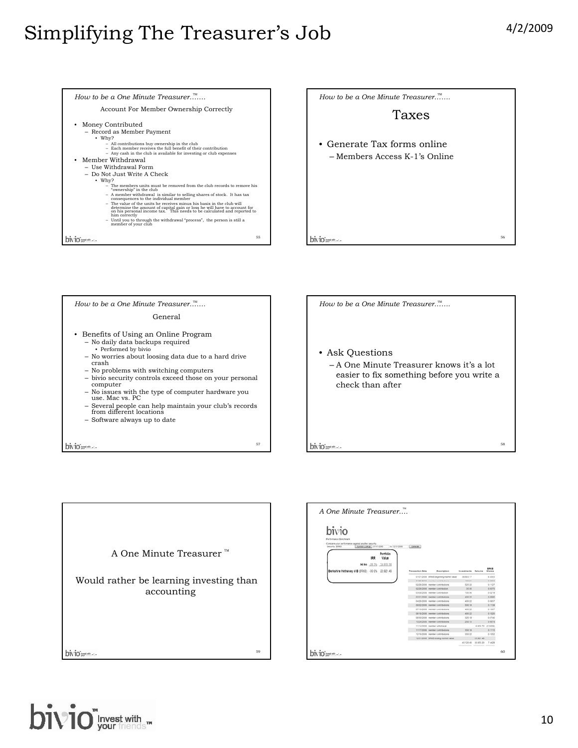











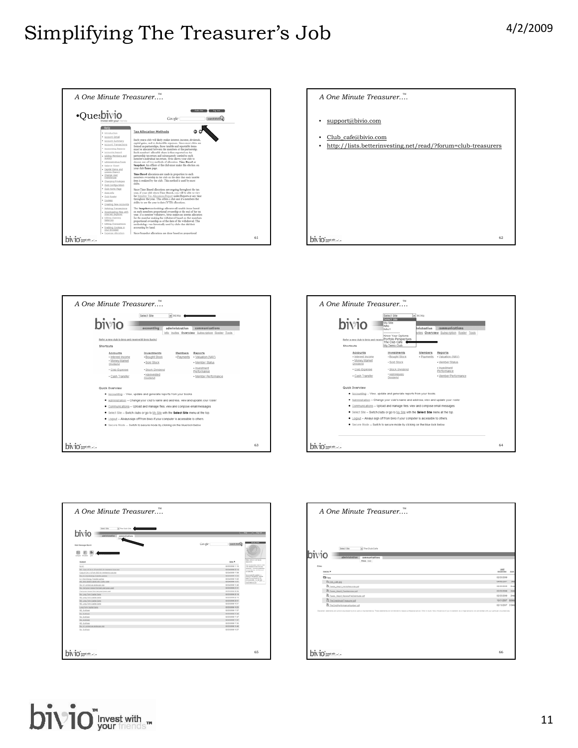









| A One Minute Treasurer."                         |                                                                                                                                                                                                                                |
|--------------------------------------------------|--------------------------------------------------------------------------------------------------------------------------------------------------------------------------------------------------------------------------------|
|                                                  |                                                                                                                                                                                                                                |
|                                                  |                                                                                                                                                                                                                                |
|                                                  |                                                                                                                                                                                                                                |
|                                                  |                                                                                                                                                                                                                                |
|                                                  |                                                                                                                                                                                                                                |
|                                                  |                                                                                                                                                                                                                                |
| Tel The Club Cafe<br>Select Site                 |                                                                                                                                                                                                                                |
| bivio                                            |                                                                                                                                                                                                                                |
| administration<br>communications<br>First title! |                                                                                                                                                                                                                                |
| Files                                            |                                                                                                                                                                                                                                |
| <b>Name W</b>                                    | Last<br>Modified Size                                                                                                                                                                                                          |
| <b>Clinical</b>                                  | 02/25/2009                                                                                                                                                                                                                     |
| Banama                                           | 04062001                                                                                                                                                                                                                       |
| B. Laura, Steph, Vanta Becomput                  | 02/25/2009                                                                                                                                                                                                                     |
| B.Tam, Stell, Tamintenad                         | 02/25/2009                                                                                                                                                                                                                     |
|                                                  | 02/25/2009                                                                                                                                                                                                                     |
| B Lass, Steph ReviewTireDatchute.pdf             |                                                                                                                                                                                                                                |
| B. the Cretinute Treasurer pdf                   |                                                                                                                                                                                                                                |
| B. The Only Performance fourther poli            | 10/31/2007 88849<br>02/13/2007 31849                                                                                                                                                                                           |
|                                                  |                                                                                                                                                                                                                                |
|                                                  |                                                                                                                                                                                                                                |
|                                                  | Declared and political excepted by this years or recreations. These alsesses are relinquiried to release professional ables. When it dubb the additional year in additional and a district of your limited and the transitions |
|                                                  |                                                                                                                                                                                                                                |
|                                                  |                                                                                                                                                                                                                                |
|                                                  |                                                                                                                                                                                                                                |
|                                                  |                                                                                                                                                                                                                                |
|                                                  |                                                                                                                                                                                                                                |
|                                                  |                                                                                                                                                                                                                                |